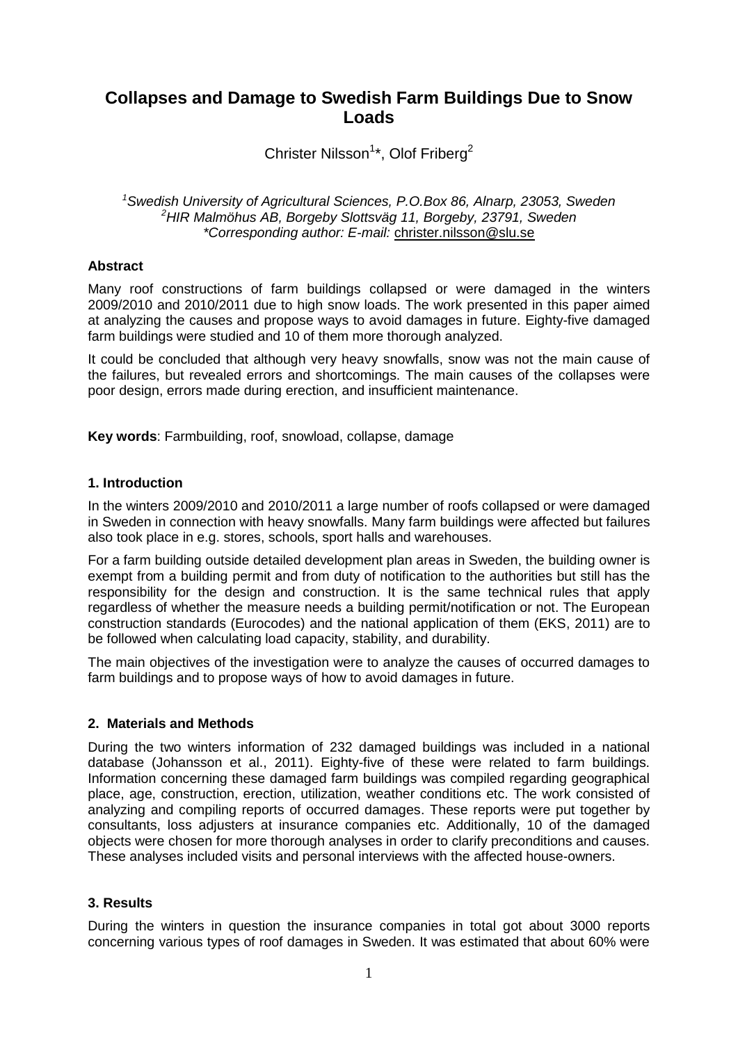# **Collapses and Damage to Swedish Farm Buildings Due to Snow Loads**

Christer Nilsson<sup>1\*</sup>, Olof Friberg<sup>2</sup>

*<sup>1</sup>Swedish University of Agricultural Sciences, P.O.Box 86, Alnarp, 23053, Sweden <sup>2</sup>HIR Malmöhus AB, Borgeby Slottsväg 11, Borgeby, 23791, Sweden \*Corresponding author: E-mail:* christer.nilsson@slu.se

### **Abstract**

Many roof constructions of farm buildings collapsed or were damaged in the winters 2009/2010 and 2010/2011 due to high snow loads. The work presented in this paper aimed at analyzing the causes and propose ways to avoid damages in future. Eighty-five damaged farm buildings were studied and 10 of them more thorough analyzed.

It could be concluded that although very heavy snowfalls, snow was not the main cause of the failures, but revealed errors and shortcomings. The main causes of the collapses were poor design, errors made during erection, and insufficient maintenance.

**Key words**: Farmbuilding, roof, snowload, collapse, damage

## **1. Introduction**

In the winters 2009/2010 and 2010/2011 a large number of roofs collapsed or were damaged in Sweden in connection with heavy snowfalls. Many farm buildings were affected but failures also took place in e.g. stores, schools, sport halls and warehouses.

For a farm building outside detailed development plan areas in Sweden, the building owner is exempt from a building permit and from duty of notification to the authorities but still has the responsibility for the design and construction. It is the same technical rules that apply regardless of whether the measure needs a building permit/notification or not. The European construction standards (Eurocodes) and the national application of them (EKS, 2011) are to be followed when calculating load capacity, stability, and durability.

The main objectives of the investigation were to analyze the causes of occurred damages to farm buildings and to propose ways of how to avoid damages in future.

#### **2. Materials and Methods**

During the two winters information of 232 damaged buildings was included in a national database (Johansson et al., 2011). Eighty-five of these were related to farm buildings. Information concerning these damaged farm buildings was compiled regarding geographical place, age, construction, erection, utilization, weather conditions etc. The work consisted of analyzing and compiling reports of occurred damages. These reports were put together by consultants, loss adjusters at insurance companies etc. Additionally, 10 of the damaged objects were chosen for more thorough analyses in order to clarify preconditions and causes. These analyses included visits and personal interviews with the affected house-owners.

## **3. Results**

During the winters in question the insurance companies in total got about 3000 reports concerning various types of roof damages in Sweden. It was estimated that about 60% were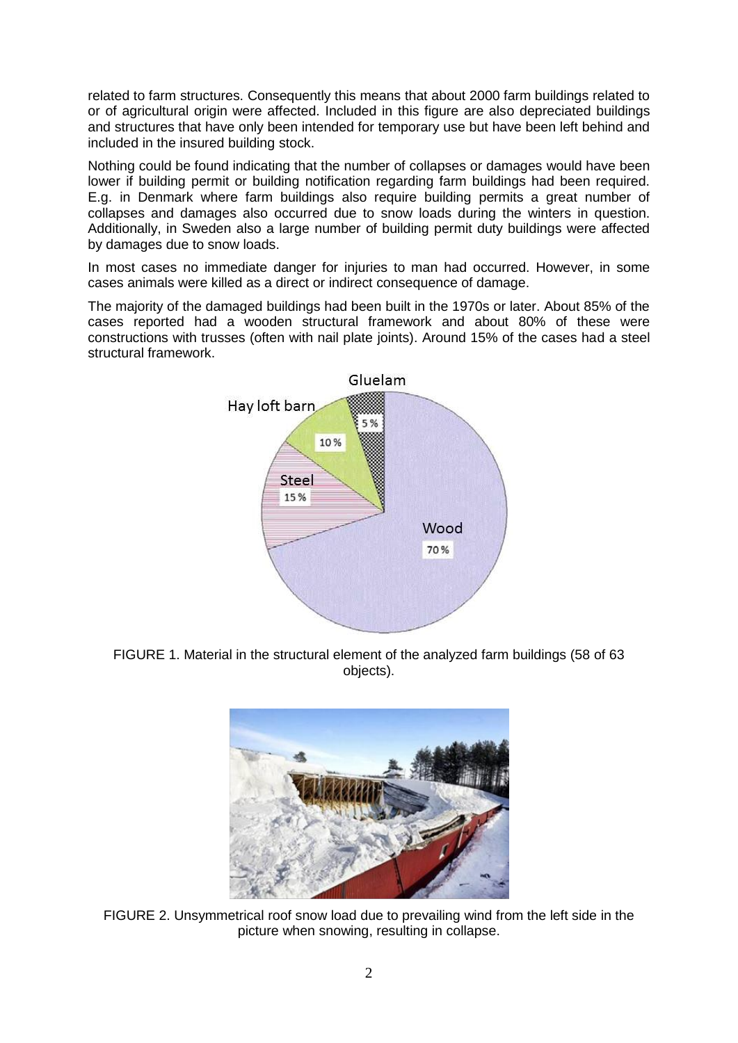related to farm structures. Consequently this means that about 2000 farm buildings related to or of agricultural origin were affected. Included in this figure are also depreciated buildings and structures that have only been intended for temporary use but have been left behind and included in the insured building stock.

Nothing could be found indicating that the number of collapses or damages would have been lower if building permit or building notification regarding farm buildings had been required. E.g. in Denmark where farm buildings also require building permits a great number of collapses and damages also occurred due to snow loads during the winters in question. Additionally, in Sweden also a large number of building permit duty buildings were affected by damages due to snow loads.

In most cases no immediate danger for injuries to man had occurred. However, in some cases animals were killed as a direct or indirect consequence of damage.

The majority of the damaged buildings had been built in the 1970s or later. About 85% of the cases reported had a wooden structural framework and about 80% of these were constructions with trusses (often with nail plate joints). Around 15% of the cases had a steel structural framework.



FIGURE 1. Material in the structural element of the analyzed farm buildings (58 of 63 objects).



FIGURE 2. Unsymmetrical roof snow load due to prevailing wind from the left side in the picture when snowing, resulting in collapse.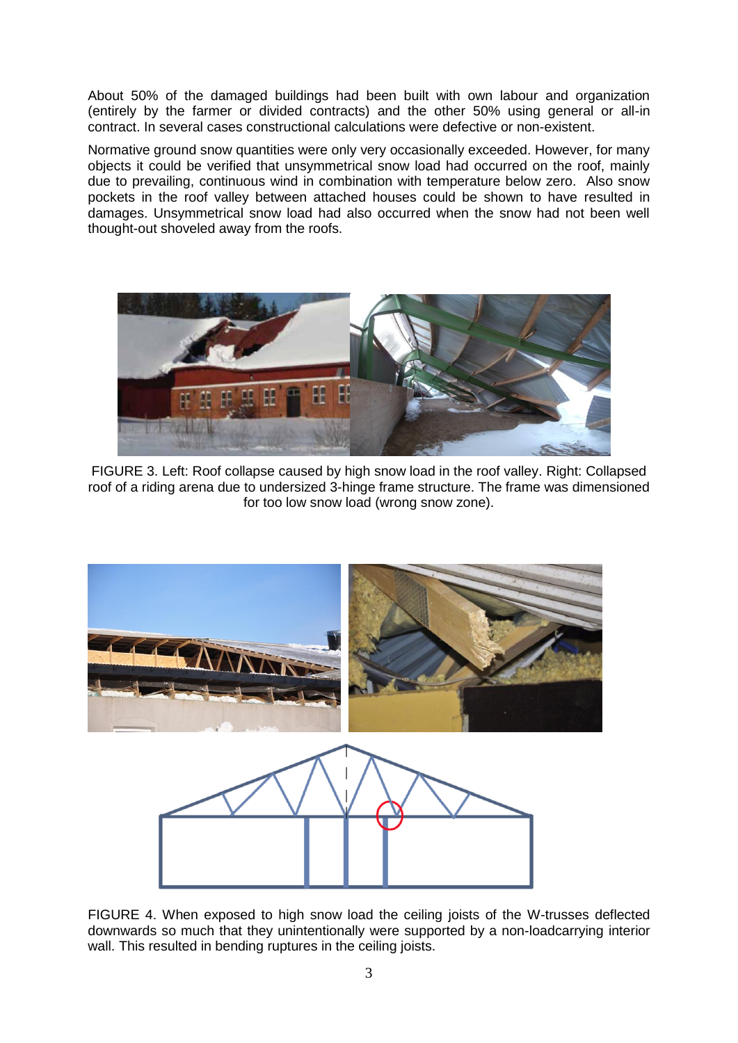About 50% of the damaged buildings had been built with own labour and organization (entirely by the farmer or divided contracts) and the other 50% using general or all-in contract. In several cases constructional calculations were defective or non-existent.

Normative ground snow quantities were only very occasionally exceeded. However, for many objects it could be verified that unsymmetrical snow load had occurred on the roof, mainly due to prevailing, continuous wind in combination with temperature below zero. Also snow pockets in the roof valley between attached houses could be shown to have resulted in damages. Unsymmetrical snow load had also occurred when the snow had not been well thought-out shoveled away from the roofs.



FIGURE 3. Left: Roof collapse caused by high snow load in the roof valley. Right: Collapsed roof of a riding arena due to undersized 3-hinge frame structure. The frame was dimensioned for too low snow load (wrong snow zone).



FIGURE 4. When exposed to high snow load the ceiling joists of the W-trusses deflected downwards so much that they unintentionally were supported by a non-loadcarrying interior wall. This resulted in bending ruptures in the ceiling joists.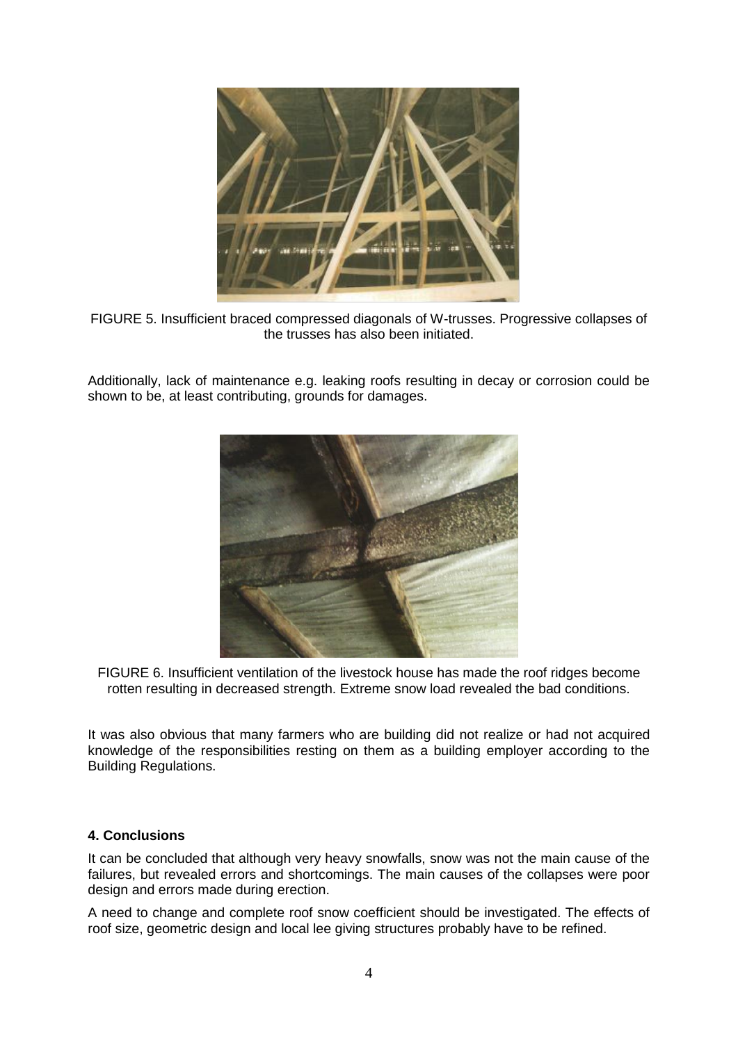

FIGURE 5. Insufficient braced compressed diagonals of W-trusses. Progressive collapses of the trusses has also been initiated.

Additionally, lack of maintenance e.g. leaking roofs resulting in decay or corrosion could be shown to be, at least contributing, grounds for damages.



FIGURE 6. Insufficient ventilation of the livestock house has made the roof ridges become rotten resulting in decreased strength. Extreme snow load revealed the bad conditions.

It was also obvious that many farmers who are building did not realize or had not acquired knowledge of the responsibilities resting on them as a building employer according to the Building Regulations.

#### **4. Conclusions**

It can be concluded that although very heavy snowfalls, snow was not the main cause of the failures, but revealed errors and shortcomings. The main causes of the collapses were poor design and errors made during erection.

A need to change and complete roof snow coefficient should be investigated. The effects of roof size, geometric design and local lee giving structures probably have to be refined.